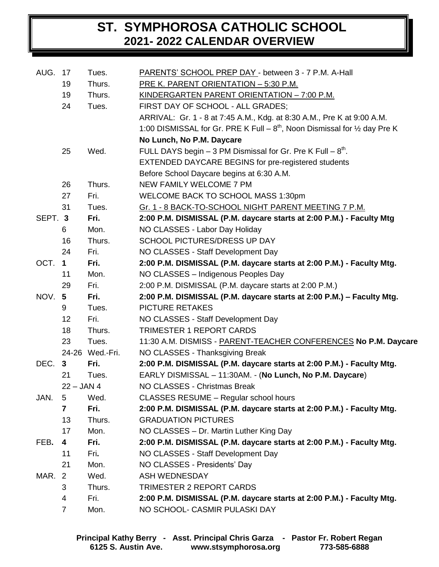## **ST. SYMPHOROSA CATHOLIC SCHOOL 2021- 2022 CALENDAR OVERVIEW**

| AUG. 17 |                 | Tues.           | PARENTS' SCHOOL PREP DAY - between 3 - 7 P.M. A-Hall                                      |
|---------|-----------------|-----------------|-------------------------------------------------------------------------------------------|
|         | 19              | Thurs.          | PRE K. PARENT ORIENTATION - 5:30 P.M.                                                     |
|         | 19              | Thurs.          | <u>KINDERGARTEN PARENT ORIENTATION - 7:00 P.M.</u>                                        |
|         | 24              | Tues.           | FIRST DAY OF SCHOOL - ALL GRADES;                                                         |
|         |                 |                 | ARRIVAL: Gr. 1 - 8 at 7:45 A.M., Kdg. at 8:30 A.M., Pre K at 9:00 A.M.                    |
|         |                 |                 | 1:00 DISMISSAL for Gr. PRE K Full – $8^{th}$ , Noon Dismissal for $\frac{1}{2}$ day Pre K |
|         |                 |                 | No Lunch, No P.M. Daycare                                                                 |
|         | 25              | Wed.            | FULL DAYS begin $-3$ PM Dismissal for Gr. Pre K Full $-8th$ .                             |
|         |                 |                 | <b>EXTENDED DAYCARE BEGINS for pre-registered students</b>                                |
|         |                 |                 | Before School Daycare begins at 6:30 A.M.                                                 |
|         | 26              | Thurs.          | NEW FAMILY WELCOME 7 PM                                                                   |
|         | 27              | Fri.            | <b>WELCOME BACK TO SCHOOL MASS 1:30pm</b>                                                 |
|         | 31              | Tues.           | Gr. 1 - 8 BACK-TO-SCHOOL NIGHT PARENT MEETING 7 P.M.                                      |
| SEPT. 3 |                 | Fri.            | 2:00 P.M. DISMISSAL (P.M. daycare starts at 2:00 P.M.) - Faculty Mtg                      |
|         | 6               | Mon.            | NO CLASSES - Labor Day Holiday                                                            |
|         | 16              | Thurs.          | SCHOOL PICTURES/DRESS UP DAY                                                              |
|         | 24              | Fri.            | NO CLASSES - Staff Development Day                                                        |
| OCT.    | $\mathbf 1$     | Fri.            | 2:00 P.M. DISMISSAL (P.M. daycare starts at 2:00 P.M.) - Faculty Mtg.                     |
|         | 11              | Mon.            | NO CLASSES - Indigenous Peoples Day                                                       |
|         | 29              | Fri.            | 2:00 P.M. DISMISSAL (P.M. daycare starts at 2:00 P.M.)                                    |
| NOV.    | $5\phantom{.0}$ | Fri.            | 2:00 P.M. DISMISSAL (P.M. daycare starts at 2:00 P.M.) - Faculty Mtg.                     |
|         | 9               | Tues.           | <b>PICTURE RETAKES</b>                                                                    |
|         | 12              | Fri.            | NO CLASSES - Staff Development Day                                                        |
|         | 18              | Thurs.          | <b>TRIMESTER 1 REPORT CARDS</b>                                                           |
|         | 23              | Tues.           | 11:30 A.M. DISMISS - PARENT-TEACHER CONFERENCES No P.M. Daycare                           |
|         |                 | 24-26 Wed.-Fri. | NO CLASSES - Thanksgiving Break                                                           |
| DEC. 3  |                 | Fri.            | 2:00 P.M. DISMISSAL (P.M. daycare starts at 2:00 P.M.) - Faculty Mtg.                     |
|         | 21              | Tues.           | EARLY DISMISSAL - 11:30AM. - (No Lunch, No P.M. Daycare)                                  |
|         | $22 - JAN 4$    |                 | NO CLASSES - Christmas Break                                                              |
| JAN.    | 5               | Wed.            | <b>CLASSES RESUME - Regular school hours</b>                                              |
|         | 7               | Fri.            | 2:00 P.M. DISMISSAL (P.M. daycare starts at 2:00 P.M.) - Faculty Mtg.                     |
|         | 13              | Thurs.          | <b>GRADUATION PICTURES</b>                                                                |
|         | 17              | Mon.            | NO CLASSES - Dr. Martin Luther King Day                                                   |
| FEB.    | 4               | Fri.            | 2:00 P.M. DISMISSAL (P.M. daycare starts at 2:00 P.M.) - Faculty Mtg.                     |
|         | 11              | Fri.            | NO CLASSES - Staff Development Day                                                        |
|         | 21              | Mon.            | NO CLASSES - Presidents' Day                                                              |
| MAR.    | 2               | Wed.            | <b>ASH WEDNESDAY</b>                                                                      |
|         | 3               | Thurs.          | <b>TRIMESTER 2 REPORT CARDS</b>                                                           |
|         | 4               | Fri.            | 2:00 P.M. DISMISSAL (P.M. daycare starts at 2:00 P.M.) - Faculty Mtg.                     |
|         | $\overline{7}$  | Mon.            | NO SCHOOL- CASMIR PULASKI DAY                                                             |
|         |                 |                 |                                                                                           |